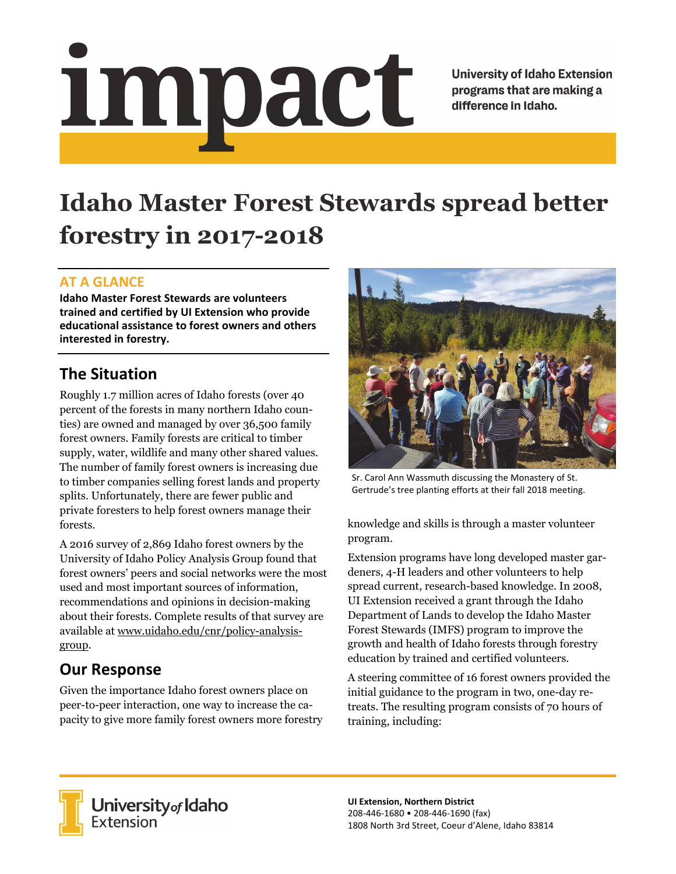# <u>impact</u>

**University of Idaho Extension** programs that are making a difference in Idaho.

# **Idaho Master Forest Stewards spread better forestry in 2017-2018**

#### **AT A GLANCE**

**Idaho Master Forest Stewards are volunteers trained and certified by UI Extension who provide educational assistance to forest owners and others interested in forestry.**

## **The Situation**

Roughly 1.7 million acres of Idaho forests (over 40 percent of the forests in many northern Idaho counties) are owned and managed by over 36,500 family forest owners. Family forests are critical to timber supply, water, wildlife and many other shared values. The number of family forest owners is increasing due to timber companies selling forest lands and property splits. Unfortunately, there are fewer public and private foresters to help forest owners manage their forests.

A 2016 survey of 2,869 Idaho forest owners by the University of Idaho Policy Analysis Group found that forest owners' peers and social networks were the most used and most important sources of information, recommendations and opinions in decision-making about their forests. Complete results of that survey are available at www.uidaho.edu/cnr/policy-analysisgroup.

# **Our Response**

Given the importance Idaho forest owners place on peer-to-peer interaction, one way to increase the capacity to give more family forest owners more forestry



Sr. Carol Ann Wassmuth discussing the Monastery of St. Gertrude's tree planting efforts at their fall 2018 meeting.

knowledge and skills is through a master volunteer program.

Extension programs have long developed master gardeners, 4-H leaders and other volunteers to help spread current, research-based knowledge. In 2008, UI Extension received a grant through the Idaho Department of Lands to develop the Idaho Master Forest Stewards (IMFS) program to improve the growth and health of Idaho forests through forestry education by trained and certified volunteers.

A steering committee of 16 forest owners provided the initial guidance to the program in two, one-day retreats. The resulting program consists of 70 hours of training, including:



**University** of Idaho<br>Extension

**UI Extension, Northern District** 208‐446‐1680 • 208‐446‐1690 (fax) 1808 North 3rd Street, Coeur d'Alene, Idaho 83814